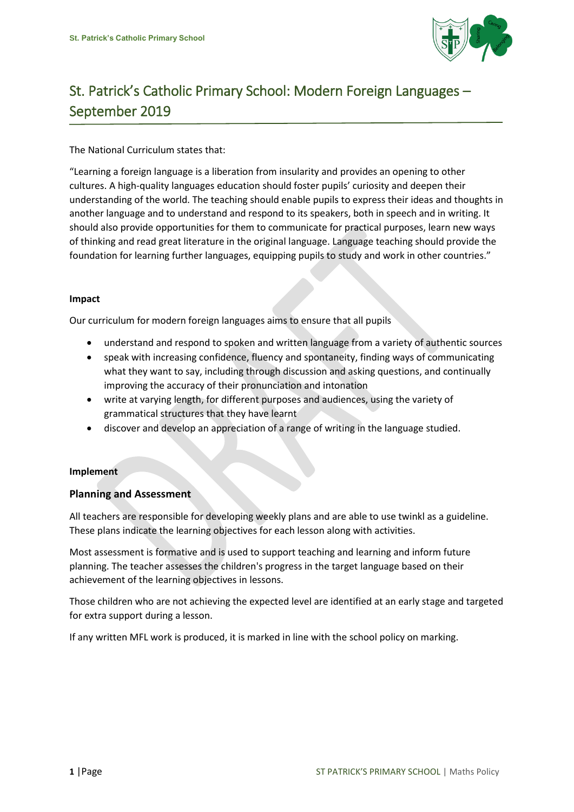

# St. Patrick's Catholic Primary School: Modern Foreign Languages – September 2019

The National Curriculum states that:

"Learning a foreign language is a liberation from insularity and provides an opening to other cultures. A high-quality languages education should foster pupils' curiosity and deepen their understanding of the world. The teaching should enable pupils to express their ideas and thoughts in another language and to understand and respond to its speakers, both in speech and in writing. It should also provide opportunities for them to communicate for practical purposes, learn new ways of thinking and read great literature in the original language. Language teaching should provide the foundation for learning further languages, equipping pupils to study and work in other countries."

## **Impact**

Our curriculum for modern foreign languages aims to ensure that all pupils

- understand and respond to spoken and written language from a variety of authentic sources
- speak with increasing confidence, fluency and spontaneity, finding ways of communicating what they want to say, including through discussion and asking questions, and continually improving the accuracy of their pronunciation and intonation
- write at varying length, for different purposes and audiences, using the variety of grammatical structures that they have learnt
- discover and develop an appreciation of a range of writing in the language studied.

## **Implement**

# **Planning and Assessment**

All teachers are responsible for developing weekly plans and are able to use twinkl as a guideline. These plans indicate the learning objectives for each lesson along with activities.

Most assessment is formative and is used to support teaching and learning and inform future planning. The teacher assesses the children's progress in the target language based on their achievement of the learning objectives in lessons.

Those children who are not achieving the expected level are identified at an early stage and targeted for extra support during a lesson.

If any written MFL work is produced, it is marked in line with the school policy on marking.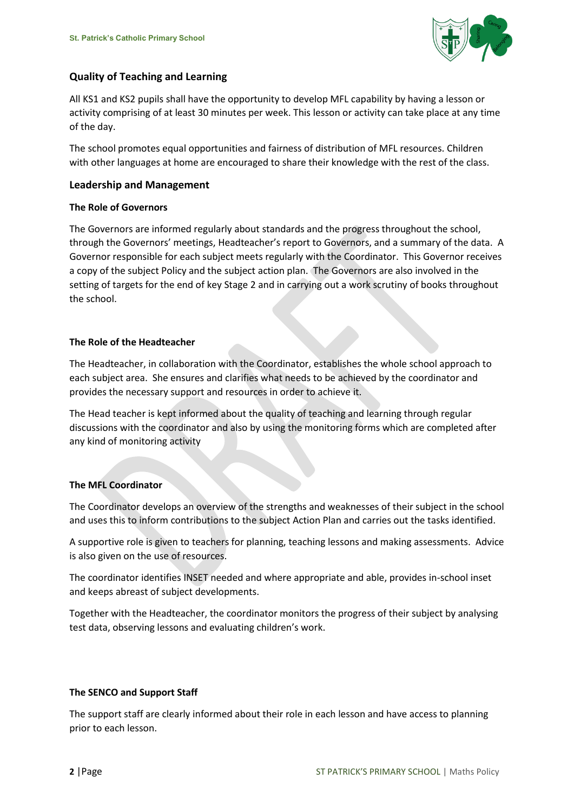

# **Quality of Teaching and Learning**

All KS1 and KS2 pupils shall have the opportunity to develop MFL capability by having a lesson or activity comprising of at least 30 minutes per week. This lesson or activity can take place at any time of the day.

The school promotes equal opportunities and fairness of distribution of MFL resources. Children with other languages at home are encouraged to share their knowledge with the rest of the class.

## **Leadership and Management**

## **The Role of Governors**

The Governors are informed regularly about standards and the progress throughout the school, through the Governors' meetings, Headteacher's report to Governors, and a summary of the data. A Governor responsible for each subject meets regularly with the Coordinator. This Governor receives a copy of the subject Policy and the subject action plan. The Governors are also involved in the setting of targets for the end of key Stage 2 and in carrying out a work scrutiny of books throughout the school.

## **The Role of the Headteacher**

The Headteacher, in collaboration with the Coordinator, establishes the whole school approach to each subject area. She ensures and clarifies what needs to be achieved by the coordinator and provides the necessary support and resources in order to achieve it.

The Head teacher is kept informed about the quality of teaching and learning through regular discussions with the coordinator and also by using the monitoring forms which are completed after any kind of monitoring activity

# **The MFL Coordinator**

The Coordinator develops an overview of the strengths and weaknesses of their subject in the school and uses this to inform contributions to the subject Action Plan and carries out the tasks identified.

A supportive role is given to teachers for planning, teaching lessons and making assessments. Advice is also given on the use of resources.

The coordinator identifies INSET needed and where appropriate and able, provides in-school inset and keeps abreast of subject developments.

Together with the Headteacher, the coordinator monitors the progress of their subject by analysing test data, observing lessons and evaluating children's work.

## **The SENCO and Support Staff**

The support staff are clearly informed about their role in each lesson and have access to planning prior to each lesson.